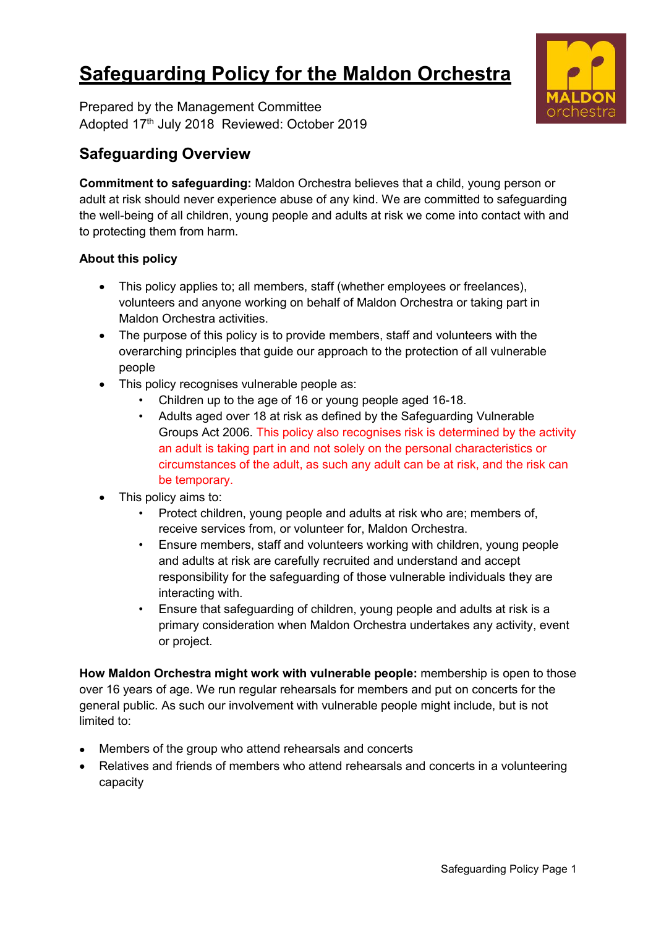# **Safeguarding Policy for the Maldon Orchestra**

Prepared by the Management Committee Adopted 17 th July 2018 Reviewed: October 2019

# **Safeguarding Overview**

**Commitment to safeguarding:** Maldon Orchestra believes that a child, young person or adult at risk should never experience abuse of any kind. We are committed to safeguarding the well-being of all children, young people and adults at risk we come into contact with and to protecting them from harm.

# **About this policy**

- This policy applies to; all members, staff (whether employees or freelances), volunteers and anyone working on behalf of Maldon Orchestra or taking part in Maldon Orchestra activities.
- The purpose of this policy is to provide members, staff and volunteers with the overarching principles that guide our approach to the protection of all vulnerable people
- This policy recognises vulnerable people as:
	- Children up to the age of 16 or young people aged 16-18.
		- Adults aged over 18 at risk as defined by the Safeguarding Vulnerable Groups Act 2006. This policy also recognises risk is determined by the activity an adult is taking part in and not solely on the personal characteristics or circumstances of the adult, as such any adult can be at risk, and the risk can be temporary.
- This policy aims to:
	- Protect children, young people and adults at risk who are; members of, receive services from, or volunteer for, Maldon Orchestra.
	- Ensure members, staff and volunteers working with children, young people and adults at risk are carefully recruited and understand and accept responsibility for the safeguarding of those vulnerable individuals they are interacting with.
	- Ensure that safeguarding of children, young people and adults at risk is a primary consideration when Maldon Orchestra undertakes any activity, event or project.

**How Maldon Orchestra might work with vulnerable people:** membership is open to those over 16 years of age. We run regular rehearsals for members and put on concerts for the general public. As such our involvement with vulnerable people might include, but is not limited to:

- Members of the group who attend rehearsals and concerts
- Relatives and friends of members who attend rehearsals and concerts in a volunteering capacity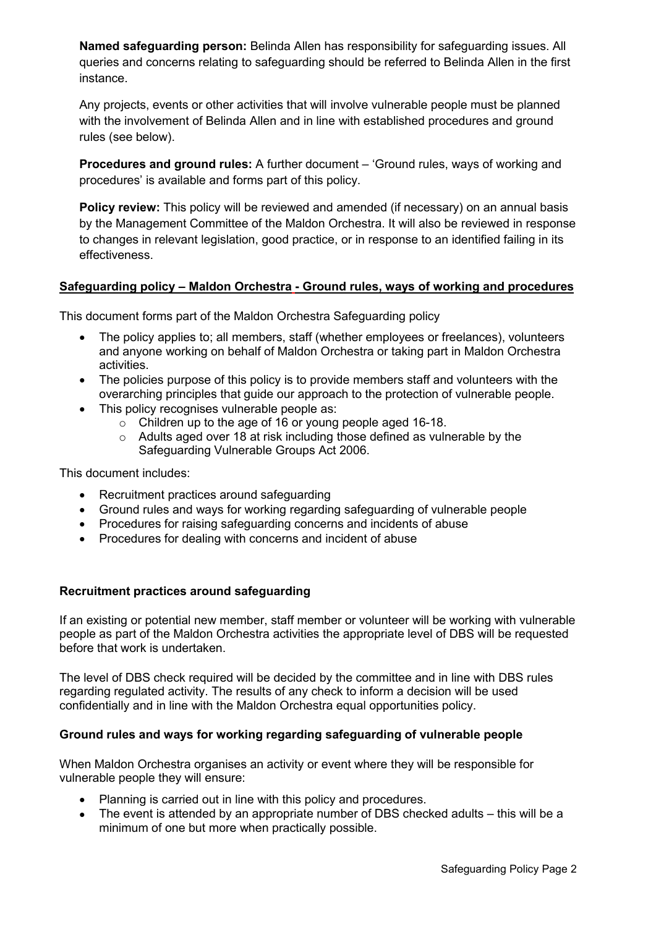**Named safeguarding person:** Belinda Allen has responsibility for safeguarding issues. All queries and concerns relating to safeguarding should be referred to Belinda Allen in the first instance.

Any projects, events or other activities that will involve vulnerable people must be planned with the involvement of Belinda Allen and in line with established procedures and ground rules (see below).

**Procedures and ground rules:** A further document – 'Ground rules, ways of working and procedures' is available and forms part of this policy.

**Policy review:** This policy will be reviewed and amended (if necessary) on an annual basis by the Management Committee of the Maldon Orchestra. It will also be reviewed in response to changes in relevant legislation, good practice, or in response to an identified failing in its effectiveness.

#### **Safeguarding policy – Maldon Orchestra - Ground rules, ways of working and procedures**

This document forms part of the Maldon Orchestra Safeguarding policy

- The policy applies to; all members, staff (whether employees or freelances), volunteers and anyone working on behalf of Maldon Orchestra or taking part in Maldon Orchestra activities.
- The policies purpose of this policy is to provide members staff and volunteers with the overarching principles that guide our approach to the protection of vulnerable people.
- This policy recognises vulnerable people as:
	- o Children up to the age of 16 or young people aged 16-18.
	- o Adults aged over 18 at risk including those defined as vulnerable by the Safeguarding Vulnerable Groups Act 2006.

This document includes:

- Recruitment practices around safequarding
- Ground rules and ways for working regarding safeguarding of vulnerable people
- Procedures for raising safeguarding concerns and incidents of abuse
- Procedures for dealing with concerns and incident of abuse

#### **Recruitment practices around safeguarding**

If an existing or potential new member, staff member or volunteer will be working with vulnerable people as part of the Maldon Orchestra activities the appropriate level of DBS will be requested before that work is undertaken.

The level of DBS check required will be decided by the committee and in line with DBS rules regarding regulated activity. The results of any check to inform a decision will be used confidentially and in line with the Maldon Orchestra equal opportunities policy.

#### **Ground rules and ways for working regarding safeguarding of vulnerable people**

When Maldon Orchestra organises an activity or event where they will be responsible for vulnerable people they will ensure:

- Planning is carried out in line with this policy and procedures.
- $\bullet$  The event is attended by an appropriate number of DBS checked adults this will be a minimum of one but more when practically possible.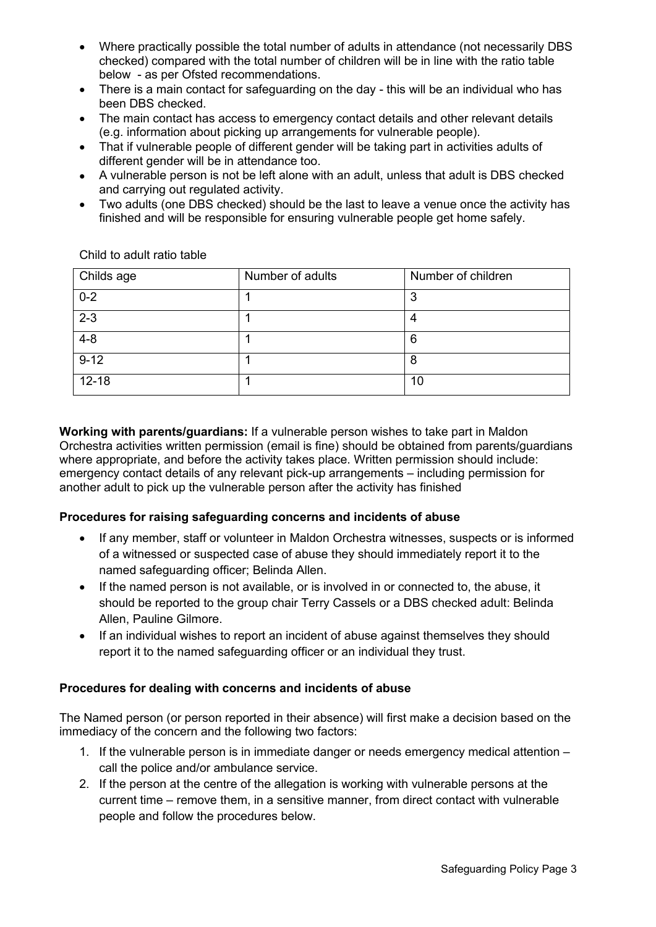- Where practically possible the total number of adults in attendance (not necessarily DBS checked) compared with the total number of children will be in line with the ratio table below - as per Ofsted recommendations.
- There is a main contact for safeguarding on the day this will be an individual who has been DBS checked.
- The main contact has access to emergency contact details and other relevant details (e.g. information about picking up arrangements for vulnerable people).
- That if vulnerable people of different gender will be taking part in activities adults of different gender will be in attendance too.
- A vulnerable person is not be left alone with an adult, unless that adult is DBS checked and carrying out regulated activity.
- Two adults (one DBS checked) should be the last to leave a venue once the activity has finished and will be responsible for ensuring vulnerable people get home safely.

| Childs age | Number of adults | Number of children |  |
|------------|------------------|--------------------|--|
| $0 - 2$    |                  | റ                  |  |
| $2 - 3$    |                  |                    |  |
| $4 - 8$    |                  | -6                 |  |
| $9 - 12$   |                  |                    |  |
| $12 - 18$  |                  | 10                 |  |

Child to adult ratio table

**Working with parents/guardians:** If a vulnerable person wishes to take part in Maldon Orchestra activities written permission (email is fine) should be obtained from parents/guardians where appropriate, and before the activity takes place. Written permission should include: emergency contact details of any relevant pick-up arrangements – including permission for another adult to pick up the vulnerable person after the activity has finished

# **Procedures for raising safeguarding concerns and incidents of abuse**

- If any member, staff or volunteer in Maldon Orchestra witnesses, suspects or is informed of a witnessed or suspected case of abuse they should immediately report it to the named safeguarding officer; Belinda Allen.
- If the named person is not available, or is involved in or connected to, the abuse, it should be reported to the group chair Terry Cassels or a DBS checked adult: Belinda Allen, Pauline Gilmore.
- If an individual wishes to report an incident of abuse against themselves they should report it to the named safeguarding officer or an individual they trust.

# **Procedures for dealing with concerns and incidents of abuse**

The Named person (or person reported in their absence) will first make a decision based on the immediacy of the concern and the following two factors:

- 1. If the vulnerable person is in immediate danger or needs emergency medical attention call the police and/or ambulance service.
- 2. If the person at the centre of the allegation is working with vulnerable persons at the current time – remove them, in a sensitive manner, from direct contact with vulnerable people and follow the procedures below.